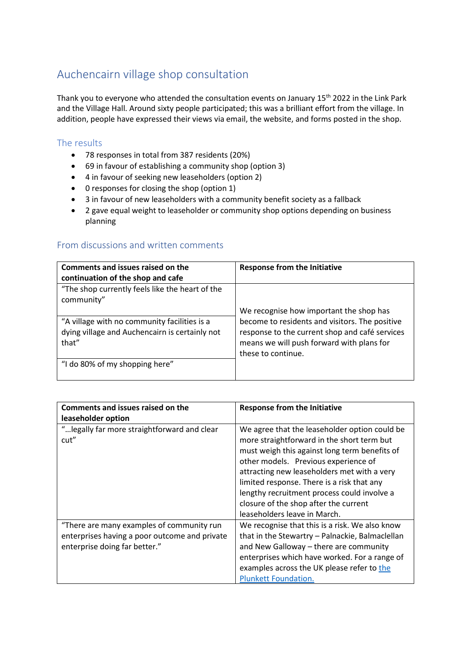## Auchencairn village shop consultation

Thank you to everyone who attended the consultation events on January 15<sup>th</sup> 2022 in the Link Park and the Village Hall. Around sixty people participated; this was a brilliant effort from the village. In addition, people have expressed their views via email, the website, and forms posted in the shop.

## The results

- 78 responses in total from 387 residents (20%)
- 69 in favour of establishing a community shop (option 3)
- 4 in favour of seeking new leaseholders (option 2)
- 0 responses for closing the shop (option 1)
- 3 in favour of new leaseholders with a community benefit society as a fallback
- 2 gave equal weight to leaseholder or community shop options depending on business planning

## From discussions and written comments

| Comments and issues raised on the<br>continuation of the shop and cafe                                  | <b>Response from the Initiative</b>                                                                                                                                 |
|---------------------------------------------------------------------------------------------------------|---------------------------------------------------------------------------------------------------------------------------------------------------------------------|
| "The shop currently feels like the heart of the<br>community"                                           |                                                                                                                                                                     |
|                                                                                                         | We recognise how important the shop has                                                                                                                             |
| "A village with no community facilities is a<br>dying village and Auchencairn is certainly not<br>that" | become to residents and visitors. The positive<br>response to the current shop and café services<br>means we will push forward with plans for<br>these to continue. |
| "I do 80% of my shopping here"                                                                          |                                                                                                                                                                     |

| Comments and issues raised on the<br>leaseholder option                                                                     | <b>Response from the Initiative</b>                                                                                                                                                                                                                                                                                                                                                                       |
|-----------------------------------------------------------------------------------------------------------------------------|-----------------------------------------------------------------------------------------------------------------------------------------------------------------------------------------------------------------------------------------------------------------------------------------------------------------------------------------------------------------------------------------------------------|
| " legally far more straightforward and clear<br>cut"                                                                        | We agree that the leaseholder option could be<br>more straightforward in the short term but<br>must weigh this against long term benefits of<br>other models. Previous experience of<br>attracting new leaseholders met with a very<br>limited response. There is a risk that any<br>lengthy recruitment process could involve a<br>closure of the shop after the current<br>leaseholders leave in March. |
| "There are many examples of community run<br>enterprises having a poor outcome and private<br>enterprise doing far better." | We recognise that this is a risk. We also know<br>that in the Stewartry - Palnackie, Balmaclellan<br>and New Galloway - there are community<br>enterprises which have worked. For a range of<br>examples across the UK please refer to the<br><b>Plunkett Foundation.</b>                                                                                                                                 |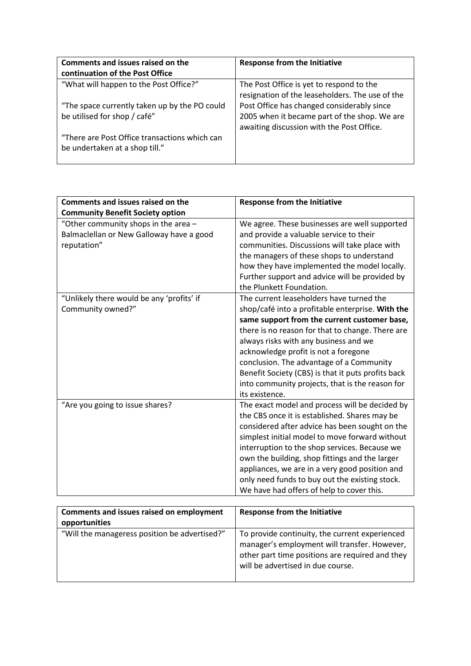| Comments and issues raised on the             | <b>Response from the Initiative</b>             |
|-----------------------------------------------|-------------------------------------------------|
| continuation of the Post Office               |                                                 |
| "What will happen to the Post Office?"        | The Post Office is yet to respond to the        |
|                                               | resignation of the leaseholders. The use of the |
| "The space currently taken up by the PO could | Post Office has changed considerably since      |
| be utilised for shop / café"                  | 2005 when it became part of the shop. We are    |
|                                               | awaiting discussion with the Post Office.       |
| "There are Post Office transactions which can |                                                 |
| be undertaken at a shop till."                |                                                 |
|                                               |                                                 |

| <b>Comments and issues raised on the</b>                                                        | <b>Response from the Initiative</b>                                                                                                                                                                                                                                                                                                                                                                                                                      |
|-------------------------------------------------------------------------------------------------|----------------------------------------------------------------------------------------------------------------------------------------------------------------------------------------------------------------------------------------------------------------------------------------------------------------------------------------------------------------------------------------------------------------------------------------------------------|
| <b>Community Benefit Society option</b>                                                         |                                                                                                                                                                                                                                                                                                                                                                                                                                                          |
| "Other community shops in the area -<br>Balmaclellan or New Galloway have a good<br>reputation" | We agree. These businesses are well supported<br>and provide a valuable service to their<br>communities. Discussions will take place with<br>the managers of these shops to understand<br>how they have implemented the model locally.<br>Further support and advice will be provided by<br>the Plunkett Foundation.                                                                                                                                     |
| "Unlikely there would be any 'profits' if<br>Community owned?"                                  | The current leaseholders have turned the<br>shop/café into a profitable enterprise. With the<br>same support from the current customer base,<br>there is no reason for that to change. There are<br>always risks with any business and we<br>acknowledge profit is not a foregone<br>conclusion. The advantage of a Community<br>Benefit Society (CBS) is that it puts profits back<br>into community projects, that is the reason for<br>its existence. |
| "Are you going to issue shares?                                                                 | The exact model and process will be decided by<br>the CBS once it is established. Shares may be<br>considered after advice has been sought on the<br>simplest initial model to move forward without<br>interruption to the shop services. Because we<br>own the building, shop fittings and the larger<br>appliances, we are in a very good position and<br>only need funds to buy out the existing stock.<br>We have had offers of help to cover this.  |
| Comments and issues raised on employment                                                        | <b>Response from the Initiative</b>                                                                                                                                                                                                                                                                                                                                                                                                                      |
| opportunities                                                                                   |                                                                                                                                                                                                                                                                                                                                                                                                                                                          |
| "Will the manageress position be advertised?"                                                   | To provide continuity, the current experienced                                                                                                                                                                                                                                                                                                                                                                                                           |

| <b>UPPULLUILLES</b>                           |                                                 |
|-----------------------------------------------|-------------------------------------------------|
| "Will the manageress position be advertised?" | To provide continuity, the current experienced  |
|                                               | manager's employment will transfer. However,    |
|                                               | other part time positions are required and they |
|                                               | will be advertised in due course.               |
|                                               |                                                 |